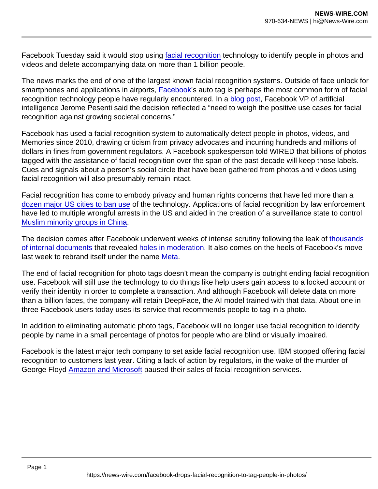Facebook Tuesday said it would stop using [facial recognition](https://www.wired.com/tag/facial-recognition/) technology to identify people in photos and videos and delete accompanying data on more than 1 billion people.

The news marks the end of one of the largest known facial recognition systems. Outside of face unlock for smartphones and applications in airports, [Facebook'](https://www.wired.com/tag/facebook/)s auto tag is perhaps the most common form of facial recognition technology people have regularly encountered. In a [blog post,](https://about.fb.com/news/2021/11/update-on-use-of-face-recognition/) Facebook VP of artificial intelligence Jerome Pesenti said the decision reflected a "need to weigh the positive use cases for facial recognition against growing societal concerns."

Facebook has used a facial recognition system to automatically detect people in photos, videos, and Memories since 2010, drawing criticism from privacy advocates and incurring hundreds and millions of dollars in fines from government regulators. A Facebook spokesperson told WIRED that billions of photos tagged with the assistance of facial recognition over the span of the past decade will keep those labels. Cues and signals about a person's social circle that have been gathered from photos and videos using facial recognition will also presumably remain intact.

Facial recognition has come to embody privacy and human rights concerns that have led more than a [dozen major US cities to ban use](https://www.wired.com/story/next-target-facial-recognition-ban-new-york/) of the technology. Applications of facial recognition by law enforcement have led to multiple wrongful arrests in the US and aided in the creation of a surveillance state to control [Muslim minority groups in China.](https://www.wired.com/story/behind-rise-chinas-facial-recognition-giants/)

The decision comes after Facebook underwent weeks of intense scrutiny following the leak of [thousands](https://www.wired.com/story/facebook-papers-internal-documents/)  [of internal documents](https://www.wired.com/story/facebook-papers-internal-documents/) that revealed [holes in moderation](https://www.wired.com/story/facebooks-global-reach-exceeds-linguistic-grasp/). It also comes on the heels of Facebook's move last week to rebrand itself under the name [Meta](https://www.wired.com/story/facebook-name-change-meta/).

The end of facial recognition for photo tags doesn't mean the company is outright ending facial recognition use. Facebook will still use the technology to do things like help users gain access to a locked account or verify their identity in order to complete a transaction. And although Facebook will delete data on more than a billion faces, the company will retain DeepFace, the AI model trained with that data. About one in three Facebook users today uses its service that recommends people to tag in a photo.

In addition to eliminating automatic photo tags, Facebook will no longer use facial recognition to identify people by name in a small percentage of photos for people who are blind or visually impaired.

Facebook is the latest major tech company to set aside facial recognition use. IBM stopped offering facial recognition to customers last year. Citing a lack of action by regulators, in the wake of the murder of George Floyd [Amazon and Microsoft](https://www.wired.com/story/amazon-facial-recognition-police-one-year-ban-rekognition/) paused their sales of facial recognition services.